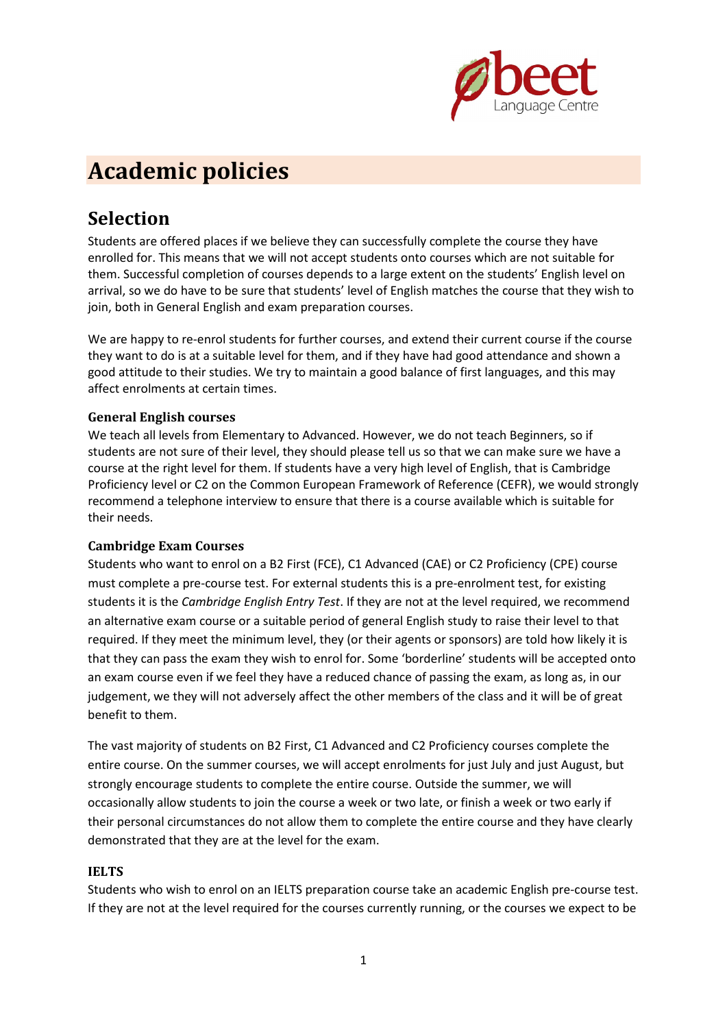

# **Academic policies**

### **Selection**

Students are offered places if we believe they can successfully complete the course they have enrolled for. This means that we will not accept students onto courses which are not suitable for them. Successful completion of courses depends to a large extent on the students' English level on arrival, so we do have to be sure that students' level of English matches the course that they wish to join, both in General English and exam preparation courses.

We are happy to re-enrol students for further courses, and extend their current course if the course they want to do is at a suitable level for them, and if they have had good attendance and shown a good attitude to their studies. We try to maintain a good balance of first languages, and this may affect enrolments at certain times.

#### **General English courses**

We teach all levels from Elementary to Advanced. However, we do not teach Beginners, so if students are not sure of their level, they should please tell us so that we can make sure we have a course at the right level for them. If students have a very high level of English, that is Cambridge Proficiency level or C2 on the Common European Framework of Reference (CEFR), we would strongly recommend a telephone interview to ensure that there is a course available which is suitable for their needs.

#### **Cambridge Exam Courses**

Students who want to enrol on a B2 First (FCE), C1 Advanced (CAE) or C2 Proficiency (CPE) course must complete a pre-course test. For external students this is a pre-enrolment test, for existing students it is the *Cambridge English Entry Test*. If they are not at the level required, we recommend an alternative exam course or a suitable period of general English study to raise their level to that required. If they meet the minimum level, they (or their agents or sponsors) are told how likely it is that they can pass the exam they wish to enrol for. Some 'borderline' students will be accepted onto an exam course even if we feel they have a reduced chance of passing the exam, as long as, in our judgement, we they will not adversely affect the other members of the class and it will be of great benefit to them.

The vast majority of students on B2 First, C1 Advanced and C2 Proficiency courses complete the entire course. On the summer courses, we will accept enrolments for just July and just August, but strongly encourage students to complete the entire course. Outside the summer, we will occasionally allow students to join the course a week or two late, or finish a week or two early if their personal circumstances do not allow them to complete the entire course and they have clearly demonstrated that they are at the level for the exam.

#### **IELTS**

Students who wish to enrol on an IELTS preparation course take an academic English pre-course test. If they are not at the level required for the courses currently running, or the courses we expect to be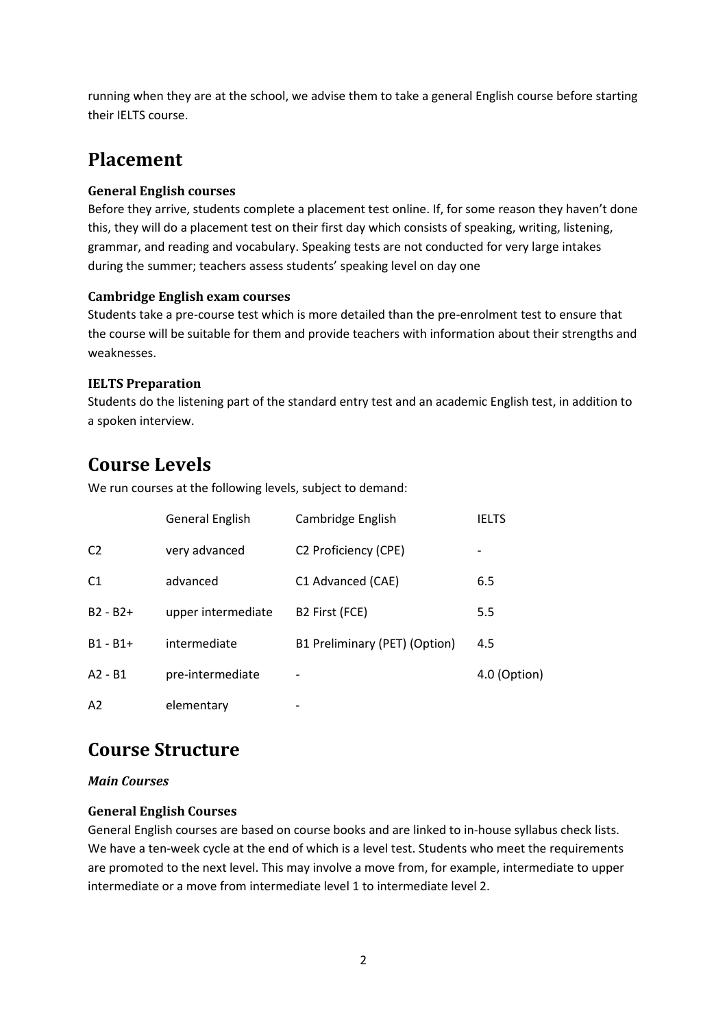running when they are at the school, we advise them to take a general English course before starting their IELTS course.

## **Placement**

#### **General English courses**

Before they arrive, students complete a placement test online. If, for some reason they haven't done this, they will do a placement test on their first day which consists of speaking, writing, listening, grammar, and reading and vocabulary. Speaking tests are not conducted for very large intakes during the summer; teachers assess students' speaking level on day one

#### **Cambridge English exam courses**

Students take a pre-course test which is more detailed than the pre-enrolment test to ensure that the course will be suitable for them and provide teachers with information about their strengths and weaknesses.

#### **IELTS Preparation**

Students do the listening part of the standard entry test and an academic English test, in addition to a spoken interview.

## **Course Levels**

We run courses at the following levels, subject to demand:

|                | <b>General English</b> | Cambridge English                | <b>IELTS</b> |
|----------------|------------------------|----------------------------------|--------------|
| C <sub>2</sub> | very advanced          | C <sub>2</sub> Proficiency (CPE) |              |
| C <sub>1</sub> | advanced               | C1 Advanced (CAE)                | 6.5          |
| $B2 - B2 +$    | upper intermediate     | B2 First (FCE)                   | 5.5          |
| $B1 - B1 +$    | intermediate           | B1 Preliminary (PET) (Option)    | 4.5          |
| $A2 - B1$      | pre-intermediate       |                                  | 4.0 (Option) |
| A <sub>2</sub> | elementary             | $\overline{\phantom{0}}$         |              |

### **Course Structure**

#### *Main Courses*

#### **General English Courses**

General English courses are based on course books and are linked to in-house syllabus check lists. We have a ten-week cycle at the end of which is a level test. Students who meet the requirements are promoted to the next level. This may involve a move from, for example, intermediate to upper intermediate or a move from intermediate level 1 to intermediate level 2.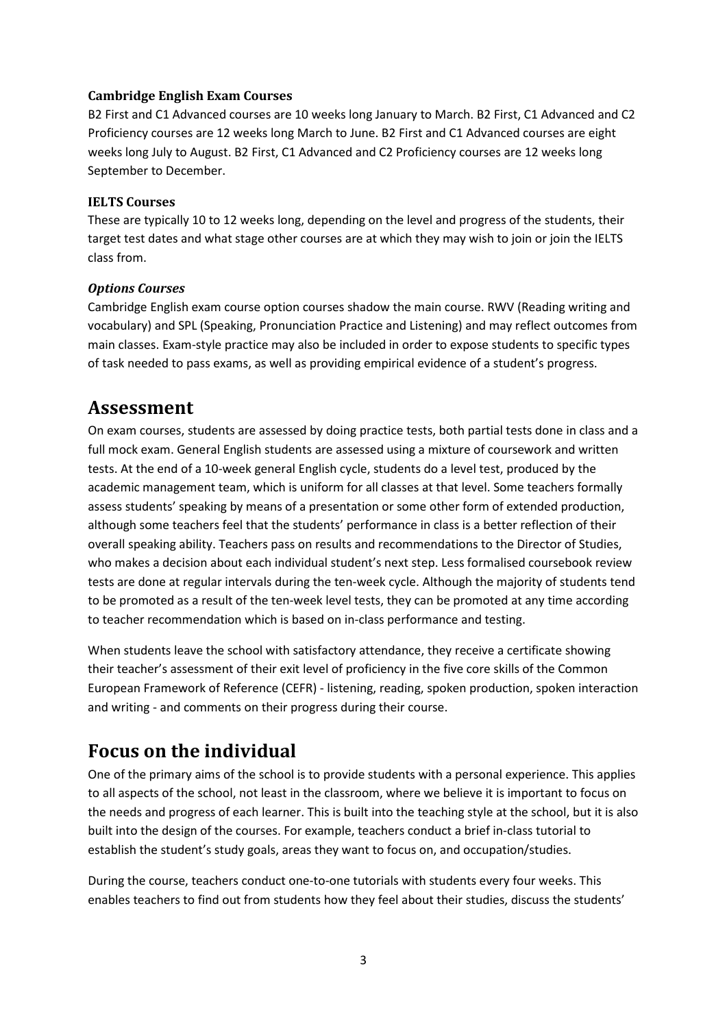#### **Cambridge English Exam Courses**

B2 First and C1 Advanced courses are 10 weeks long January to March. B2 First, C1 Advanced and C2 Proficiency courses are 12 weeks long March to June. B2 First and C1 Advanced courses are eight weeks long July to August. B2 First, C1 Advanced and C2 Proficiency courses are 12 weeks long September to December.

#### **IELTS Courses**

These are typically 10 to 12 weeks long, depending on the level and progress of the students, their target test dates and what stage other courses are at which they may wish to join or join the IELTS class from.

#### *Options Courses*

Cambridge English exam course option courses shadow the main course. RWV (Reading writing and vocabulary) and SPL (Speaking, Pronunciation Practice and Listening) and may reflect outcomes from main classes. Exam-style practice may also be included in order to expose students to specific types of task needed to pass exams, as well as providing empirical evidence of a student's progress.

### **Assessment**

On exam courses, students are assessed by doing practice tests, both partial tests done in class and a full mock exam. General English students are assessed using a mixture of coursework and written tests. At the end of a 10-week general English cycle, students do a level test, produced by the academic management team, which is uniform for all classes at that level. Some teachers formally assess students' speaking by means of a presentation or some other form of extended production, although some teachers feel that the students' performance in class is a better reflection of their overall speaking ability. Teachers pass on results and recommendations to the Director of Studies, who makes a decision about each individual student's next step. Less formalised coursebook review tests are done at regular intervals during the ten-week cycle. Although the majority of students tend to be promoted as a result of the ten-week level tests, they can be promoted at any time according to teacher recommendation which is based on in-class performance and testing.

When students leave the school with satisfactory attendance, they receive a certificate showing their teacher's assessment of their exit level of proficiency in the five core skills of the Common European Framework of Reference (CEFR) - listening, reading, spoken production, spoken interaction and writing - and comments on their progress during their course.

### **Focus on the individual**

One of the primary aims of the school is to provide students with a personal experience. This applies to all aspects of the school, not least in the classroom, where we believe it is important to focus on the needs and progress of each learner. This is built into the teaching style at the school, but it is also built into the design of the courses. For example, teachers conduct a brief in-class tutorial to establish the student's study goals, areas they want to focus on, and occupation/studies.

During the course, teachers conduct one-to-one tutorials with students every four weeks. This enables teachers to find out from students how they feel about their studies, discuss the students'